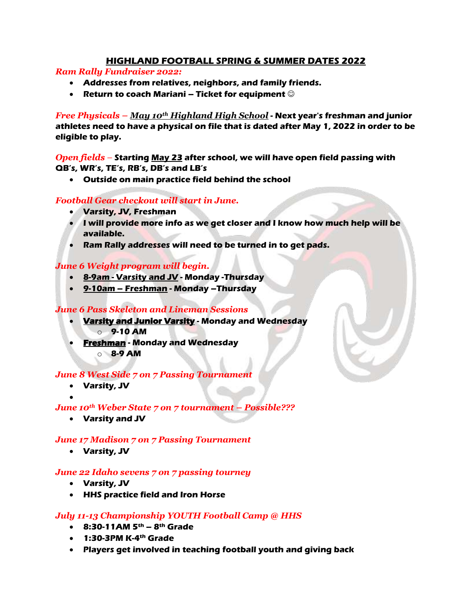# **HIGHLAND FOOTBALL SPRING & SUMMER DATES 2022**

*Ram Rally Fundraiser 2022:*

- **Addresses from relatives, neighbors, and family friends.**
- **Return to coach Mariani – Ticket for equipment**

*Free Physicals – May 10th Highland High School* **- Next year's freshman and junior athletes need to have a physical on file that is dated after May 1, 2022 in order to be eligible to play.**

*Open fields –* **Starting May 23 after school, we will have open field passing with QB's, WR's, TE's, RB's, DB's and LB's**

**Outside on main practice field behind the school**

# *Football Gear checkout will start in June.*

- **Varsity, JV, Freshman**
- **I will provide more info as we get closer and I know how much help will be available.**
- **Ram Rally addresses will need to be turned in to get pads.**

# *June 6 Weight program will begin.*

- **8-9am - Varsity and JV - Monday -Thursday**
- **9-10am – Freshman - Monday –Thursday**

# *June 6 Pass Skeleton and Lineman Sessions*

- **Varsity and Junior Varsity - Monday and Wednesday** o **9-10 AM**
- **Freshman - Monday and Wednesday** o **8-9 AM**

#### *June 8 West Side 7 on 7 Passing Tournament*

- **Varsity, JV**
- $\bullet$

# *June 10th Weber State 7 on 7 tournament – Possible???*

**Varsity and JV**

# *June 17 Madison 7 on 7 Passing Tournament*

**Varsity, JV**

#### *June 22 Idaho sevens 7 on 7 passing tourney*

- **Varsity, JV**
- **HHS practice field and Iron Horse**

# *July 11-13 Championship YOUTH Football Camp @ HHS*

- **8:30-11AM 5th – 8th Grade**
- **1:30-3PM K-4th Grade**
- **Players get involved in teaching football youth and giving back**